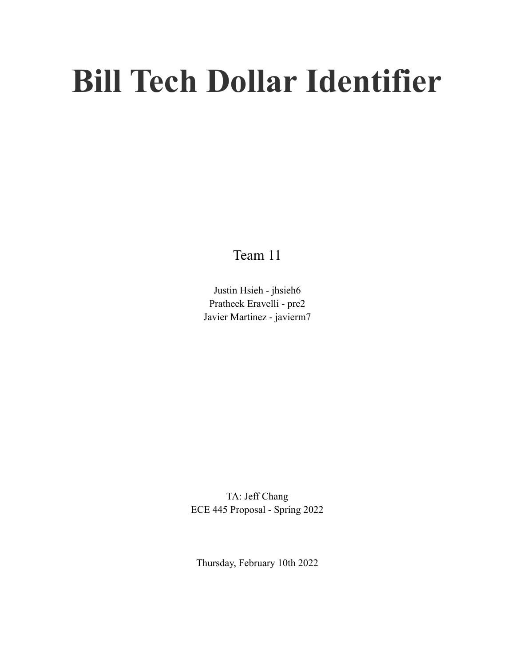# **Bill Tech Dollar Identifier**

Team 11

Justin Hsieh - jhsieh6 Pratheek Eravelli - pre2 Javier Martinez - javierm7

TA: Jeff Chang ECE 445 Proposal - Spring 2022

Thursday, February 10th 2022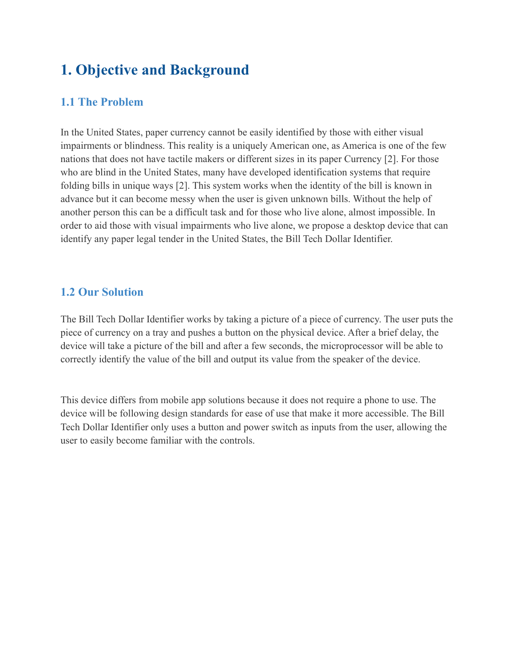# **1. Objective and Background**

## **1.1 The Problem**

In the United States, paper currency cannot be easily identified by those with either visual impairments or blindness. This reality is a uniquely American one, as America is one of the few nations that does not have tactile makers or different sizes in its paper Currency [2]. For those who are blind in the United States, many have developed identification systems that require folding bills in unique ways [2]. This system works when the identity of the bill is known in advance but it can become messy when the user is given unknown bills. Without the help of another person this can be a difficult task and for those who live alone, almost impossible. In order to aid those with visual impairments who live alone, we propose a desktop device that can identify any paper legal tender in the United States, the Bill Tech Dollar Identifier.

## **1.2 Our Solution**

The Bill Tech Dollar Identifier works by taking a picture of a piece of currency. The user puts the piece of currency on a tray and pushes a button on the physical device. After a brief delay, the device will take a picture of the bill and after a few seconds, the microprocessor will be able to correctly identify the value of the bill and output its value from the speaker of the device.

This device differs from mobile app solutions because it does not require a phone to use. The device will be following design standards for ease of use that make it more accessible. The Bill Tech Dollar Identifier only uses a button and power switch as inputs from the user, allowing the user to easily become familiar with the controls.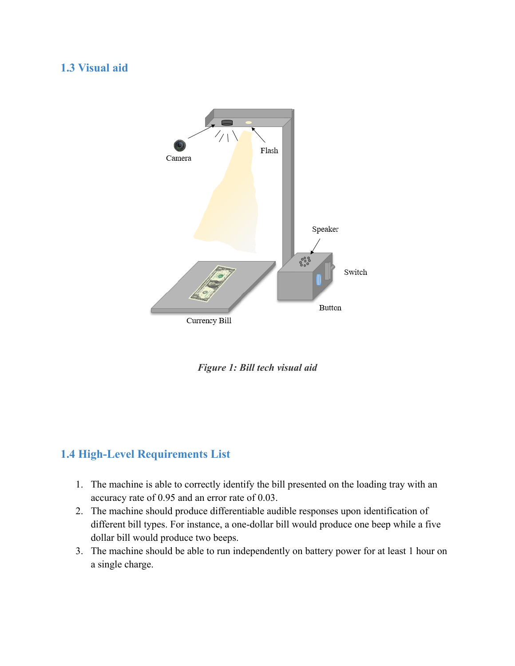## **1.3 Visual aid**



*Figure 1: Bill tech visual aid*

# **1.4 High-Level Requirements List**

- 1. The machine is able to correctly identify the bill presented on the loading tray with an accuracy rate of 0.95 and an error rate of 0.03.
- 2. The machine should produce differentiable audible responses upon identification of different bill types. For instance, a one-dollar bill would produce one beep while a five dollar bill would produce two beeps.
- 3. The machine should be able to run independently on battery power for at least 1 hour on a single charge.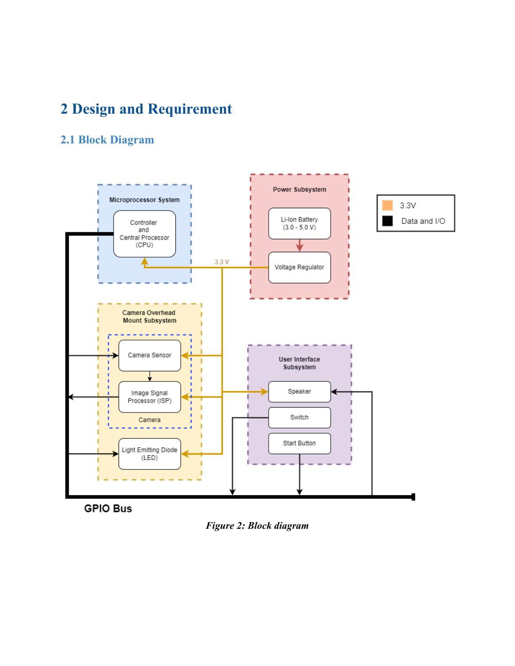# **2 Design and Requirement**

# **2.1 Block Diagram**



**GPIO Bus** 

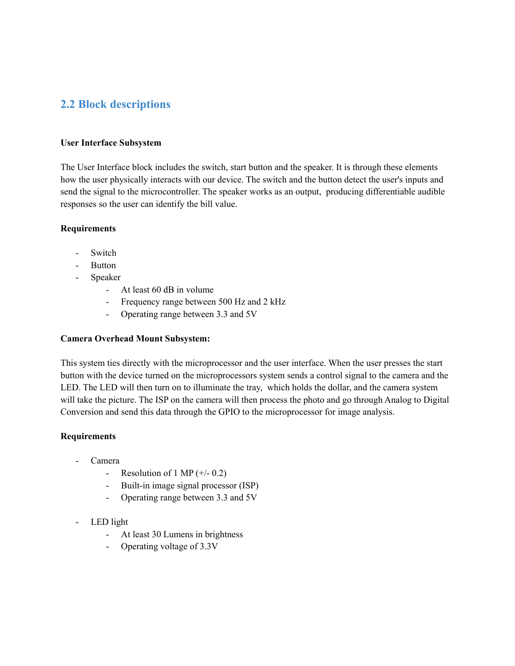## **2.2 Block descriptions**

#### **User Interface Subsystem**

The User Interface block includes the switch, start button and the speaker. It is through these elements how the user physically interacts with our device. The switch and the button detect the user's inputs and send the signal to the microcontroller. The speaker works as an output, producing differentiable audible responses so the user can identify the bill value.

#### **Requirements**

- Switch
- Button
- Speaker
	- At least 60 dB in volume
	- Frequency range between 500 Hz and 2 kHz
	- Operating range between 3.3 and 5V

#### **Camera Overhead Mount Subsystem:**

This system ties directly with the microprocessor and the user interface. When the user presses the start button with the device turned on the microprocessors system sends a control signal to the camera and the LED. The LED will then turn on to illuminate the tray, which holds the dollar, and the camera system will take the picture. The ISP on the camera will then process the photo and go through Analog to Digital Conversion and send this data through the GPIO to the microprocessor for image analysis.

#### **Requirements**

- **Camera** 
	- Resolution of 1 MP  $(+/- 0.2)$
	- Built-in image signal processor (ISP)
	- Operating range between 3.3 and 5V
- LED light
	- At least 30 Lumens in brightness
	- Operating voltage of 3.3V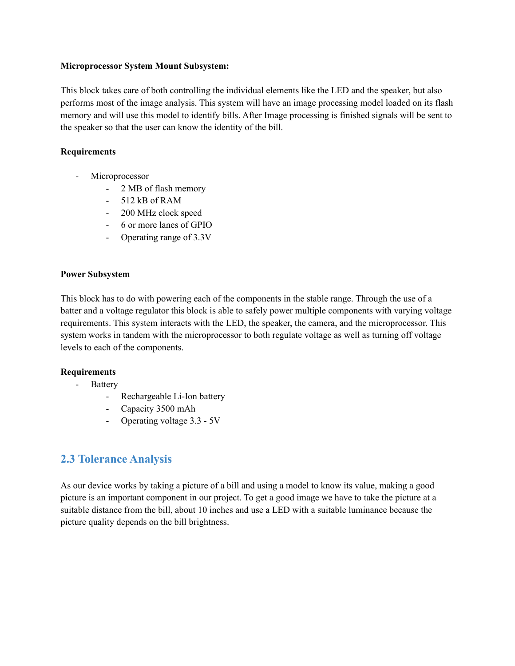#### **Microprocessor System Mount Subsystem:**

This block takes care of both controlling the individual elements like the LED and the speaker, but also performs most of the image analysis. This system will have an image processing model loaded on its flash memory and will use this model to identify bills. After Image processing is finished signals will be sent to the speaker so that the user can know the identity of the bill.

#### **Requirements**

- Microprocessor
	- 2 MB of flash memory
	- 512 kB of RAM
	- 200 MHz clock speed
	- 6 or more lanes of GPIO
	- Operating range of 3.3V

#### **Power Subsystem**

This block has to do with powering each of the components in the stable range. Through the use of a batter and a voltage regulator this block is able to safely power multiple components with varying voltage requirements. This system interacts with the LED, the speaker, the camera, and the microprocessor. This system works in tandem with the microprocessor to both regulate voltage as well as turning off voltage levels to each of the components.

#### **Requirements**

- Battery
	- Rechargeable Li-Ion battery
	- Capacity 3500 mAh
	- Operating voltage 3.3 5V

### **2.3 Tolerance Analysis**

As our device works by taking a picture of a bill and using a model to know its value, making a good picture is an important component in our project. To get a good image we have to take the picture at a suitable distance from the bill, about 10 inches and use a LED with a suitable luminance because the picture quality depends on the bill brightness.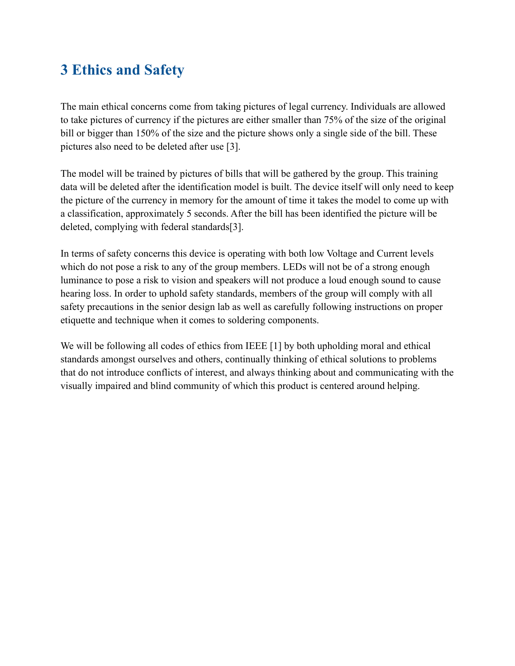# **3 Ethics and Safety**

The main ethical concerns come from taking pictures of legal currency. Individuals are allowed to take pictures of currency if the pictures are either smaller than 75% of the size of the original bill or bigger than 150% of the size and the picture shows only a single side of the bill. These pictures also need to be deleted after use [3].

The model will be trained by pictures of bills that will be gathered by the group. This training data will be deleted after the identification model is built. The device itself will only need to keep the picture of the currency in memory for the amount of time it takes the model to come up with a classification, approximately 5 seconds. After the bill has been identified the picture will be deleted, complying with federal standards[3].

In terms of safety concerns this device is operating with both low Voltage and Current levels which do not pose a risk to any of the group members. LEDs will not be of a strong enough luminance to pose a risk to vision and speakers will not produce a loud enough sound to cause hearing loss. In order to uphold safety standards, members of the group will comply with all safety precautions in the senior design lab as well as carefully following instructions on proper etiquette and technique when it comes to soldering components.

We will be following all codes of ethics from IEEE [1] by both upholding moral and ethical standards amongst ourselves and others, continually thinking of ethical solutions to problems that do not introduce conflicts of interest, and always thinking about and communicating with the visually impaired and blind community of which this product is centered around helping.